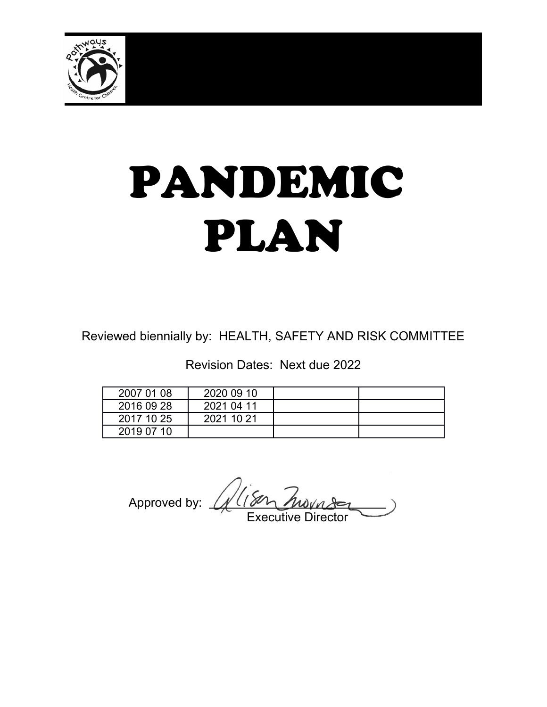

# PANDEMIC PLAN

Reviewed biennially by: HEALTH, SAFETY AND RISK COMMITTEE

Revision Dates: Next due 2022

| 2007 01 08 | 2020 09 10 |  |
|------------|------------|--|
| 2016 09 28 | 2021 04 11 |  |
| 2017 10 25 | 2021 10 21 |  |
| 2019 07 10 |            |  |

Approved by: \_ Executive Director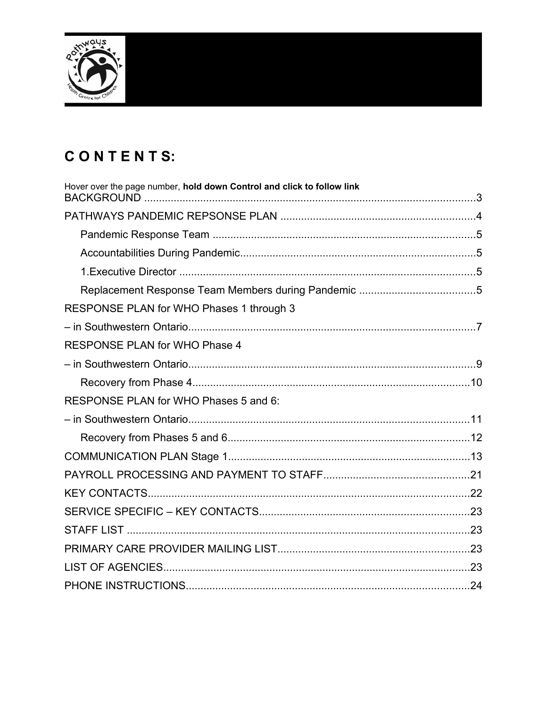

# CONTENTS:

| Hover over the page number, hold down Control and click to follow link |  |
|------------------------------------------------------------------------|--|
|                                                                        |  |
|                                                                        |  |
|                                                                        |  |
|                                                                        |  |
|                                                                        |  |
| RESPONSE PLAN for WHO Phases 1 through 3                               |  |
|                                                                        |  |
| <b>RESPONSE PLAN for WHO Phase 4</b>                                   |  |
|                                                                        |  |
|                                                                        |  |
| RESPONSE PLAN for WHO Phases 5 and 6:                                  |  |
|                                                                        |  |
|                                                                        |  |
|                                                                        |  |
|                                                                        |  |
|                                                                        |  |
|                                                                        |  |
|                                                                        |  |
|                                                                        |  |
|                                                                        |  |
|                                                                        |  |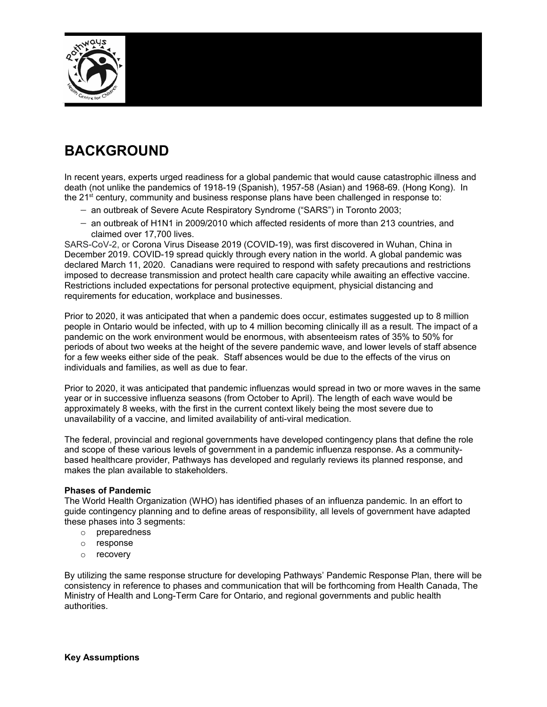

# **BACKGROUND**

In recent years, experts urged readiness for a global pandemic that would cause catastrophic illness and death (not unlike the pandemics of 1918-19 (Spanish), 1957-58 (Asian) and 1968-69. (Hong Kong). In the 21<sup>st</sup> century, community and business response plans have been challenged in response to:

- an outbreak of Severe Acute Respiratory Syndrome ("SARS") in Toronto 2003;
- an outbreak of H1N1 in 2009/2010 which affected residents of more than 213 countries, and claimed over 17,700 lives.

SARS-CoV-2, or Corona Virus Disease 2019 (COVID-19), was first discovered in Wuhan, China in December 2019. COVID-19 spread quickly through every nation in the world. A global pandemic was declared March 11, 2020. Canadians were required to respond with safety precautions and restrictions imposed to decrease transmission and protect health care capacity while awaiting an effective vaccine. Restrictions included expectations for personal protective equipment, physicial distancing and requirements for education, workplace and businesses.

Prior to 2020, it was anticipated that when a pandemic does occur, estimates suggested up to 8 million people in Ontario would be infected, with up to 4 million becoming clinically ill as a result. The impact of a pandemic on the work environment would be enormous, with absenteeism rates of 35% to 50% for periods of about two weeks at the height of the severe pandemic wave, and lower levels of staff absence for a few weeks either side of the peak. Staff absences would be due to the effects of the virus on individuals and families, as well as due to fear.

Prior to 2020, it was anticipated that pandemic influenzas would spread in two or more waves in the same year or in successive influenza seasons (from October to April). The length of each wave would be approximately 8 weeks, with the first in the current context likely being the most severe due to unavailability of a vaccine, and limited availability of anti-viral medication.

The federal, provincial and regional governments have developed contingency plans that define the role and scope of these various levels of government in a pandemic influenza response. As a communitybased healthcare provider, Pathways has developed and regularly reviews its planned response, and makes the plan available to stakeholders.

#### **Phases of Pandemic**

The World Health Organization (WHO) has identified phases of an influenza pandemic. In an effort to guide contingency planning and to define areas of responsibility, all levels of government have adapted these phases into 3 segments:

- o preparedness
- o response
- o recovery

By utilizing the same response structure for developing Pathways' Pandemic Response Plan, there will be consistency in reference to phases and communication that will be forthcoming from Health Canada, The Ministry of Health and Long-Term Care for Ontario, and regional governments and public health authorities.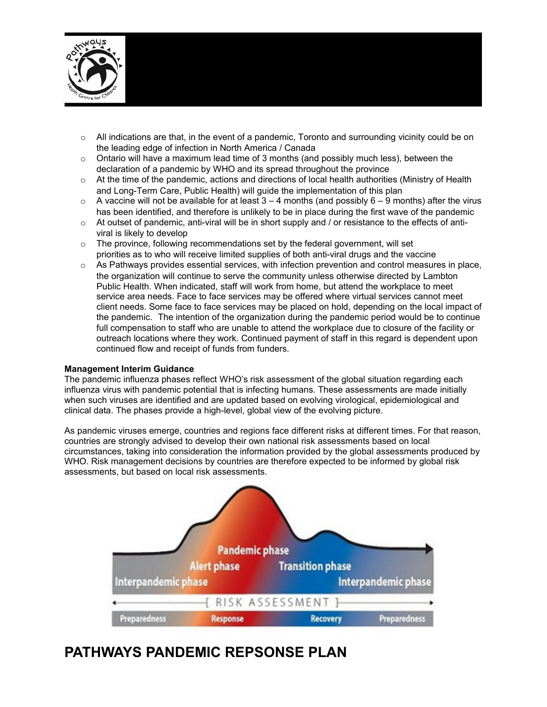

- $\circ$  All indications are that, in the event of a pandemic, Toronto and surrounding vicinity could be on the leading edge of infection in North America / Canada
- $\circ$  Ontario will have a maximum lead time of 3 months (and possibly much less), between the declaration of a pandemic by WHO and its spread throughout the province
- $\circ$  At the time of the pandemic, actions and directions of local health authorities (Ministry of Health and Long-Term Care, Public Health) will guide the implementation of this plan
- $\circ$  A vaccine will not be available for at least 3 4 months (and possibly 6 9 months) after the virus has been identified, and therefore is unlikely to be in place during the first wave of the pandemic
- $\circ$  At outset of pandemic, anti-viral will be in short supply and / or resistance to the effects of antiviral is likely to develop
- $\circ$  The province, following recommendations set by the federal government, will set priorities as to who will receive limited supplies of both anti-viral drugs and the vaccine
- o As Pathways provides essential services, with infection prevention and control measures in place, the organization will continue to serve the community unless otherwise directed by Lambton Public Health. When indicated, staff will work from home, but attend the workplace to meet service area needs. Face to face services may be offered where virtual services cannot meet client needs. Some face to face services may be placed on hold, depending on the local impact of the pandemic. The intention of the organization during the pandemic period would be to continue full compensation to staff who are unable to attend the workplace due to closure of the facility or outreach locations where they work. Continued payment of staff in this regard is dependent upon continued flow and receipt of funds from funders.

#### **Management Interim Guidance**

The pandemic influenza phases reflect WHO's risk assessment of the global situation regarding each influenza virus with pandemic potential that is infecting humans. These assessments are made initially when such viruses are identified and are updated based on evolving virological, epidemiological and clinical data. The phases provide a high-level, global view of the evolving picture.

As pandemic viruses emerge, countries and regions face different risks at different times. For that reason, countries are strongly advised to develop their own national risk assessments based on local circumstances, taking into consideration the information provided by the global assessments produced by WHO. Risk management decisions by countries are therefore expected to be informed by global risk assessments, but based on local risk assessments.



## **PATHWAYS PANDEMIC REPSONSE PLAN**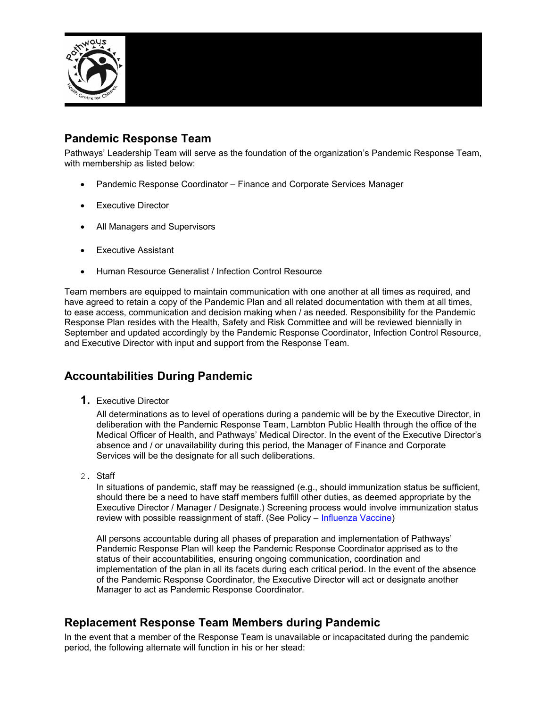

#### **Pandemic Response Team**

Pathways' Leadership Team will serve as the foundation of the organization's Pandemic Response Team, with membership as listed below:

- Pandemic Response Coordinator Finance and Corporate Services Manager
- Executive Director
- All Managers and Supervisors
- Executive Assistant
- Human Resource Generalist / Infection Control Resource

Team members are equipped to maintain communication with one another at all times as required, and have agreed to retain a copy of the Pandemic Plan and all related documentation with them at all times, to ease access, communication and decision making when / as needed. Responsibility for the Pandemic Response Plan resides with the Health, Safety and Risk Committee and will be reviewed biennially in September and updated accordingly by the Pandemic Response Coordinator, Infection Control Resource, and Executive Director with input and support from the Response Team.

#### **Accountabilities During Pandemic**

**1.** Executive Director

All determinations as to level of operations during a pandemic will be by the Executive Director, in deliberation with the Pandemic Response Team, Lambton Public Health through the office of the Medical Officer of Health, and Pathways' Medical Director. In the event of the Executive Director's absence and / or unavailability during this period, the Manager of Finance and Corporate Services will be the designate for all such deliberations.

2. Staff

In situations of pandemic, staff may be reassigned (e.g., should immunization status be sufficient, should there be a need to have staff members fulfill other duties, as deemed appropriate by the Executive Director / Manager / Designate.) Screening process would involve immunization status review with possible reassignment of staff. (See Policy – [Influenza Vaccine\)](file:///C:%5CUsers%5Ckmcclintock%5CAppData%5CLocal%5CMicrosoft%5CWindows%5CINetCache%5CContent.Outlook%5CHEALTH%20SAFETY%20RISK%20&%20QUALITY%5CInfluenza%20Vaccine.docx)

All persons accountable during all phases of preparation and implementation of Pathways' Pandemic Response Plan will keep the Pandemic Response Coordinator apprised as to the status of their accountabilities, ensuring ongoing communication, coordination and implementation of the plan in all its facets during each critical period. In the event of the absence of the Pandemic Response Coordinator, the Executive Director will act or designate another Manager to act as Pandemic Response Coordinator.

#### **Replacement Response Team Members during Pandemic**

In the event that a member of the Response Team is unavailable or incapacitated during the pandemic period, the following alternate will function in his or her stead: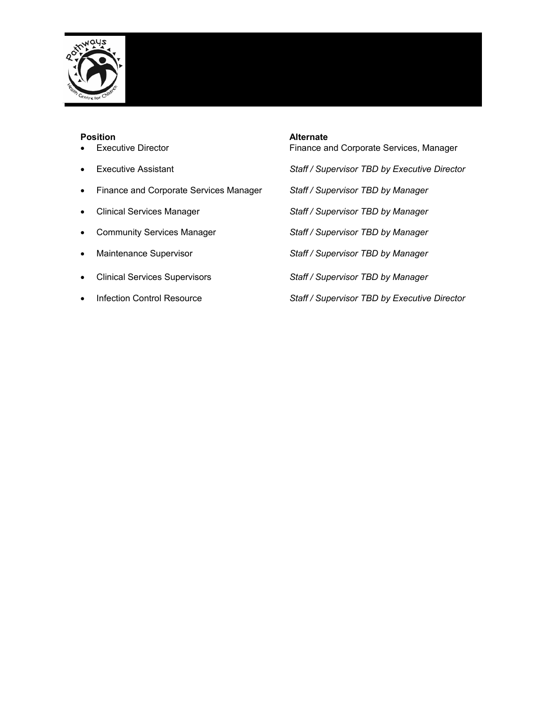

- 
- 
- Finance and Corporate Services Manager *Staff / Supervisor TBD by Manager*
- 
- 
- 
- 
- 

#### **Position Alternate**

• Executive Director **Finance and Corporate Services, Manager** 

- Executive Assistant *Staff / Supervisor TBD by Executive Director*
	-
- Clinical Services Manager *Staff / Supervisor TBD by Manager*
- Community Services Manager *Staff / Supervisor TBD by Manager*
- Maintenance Supervisor *Staff / Supervisor TBD by Manager*
- Clinical Services Supervisors *Staff / Supervisor TBD by Manager*
- Infection Control Resource *Staff / Supervisor TBD by Executive Director*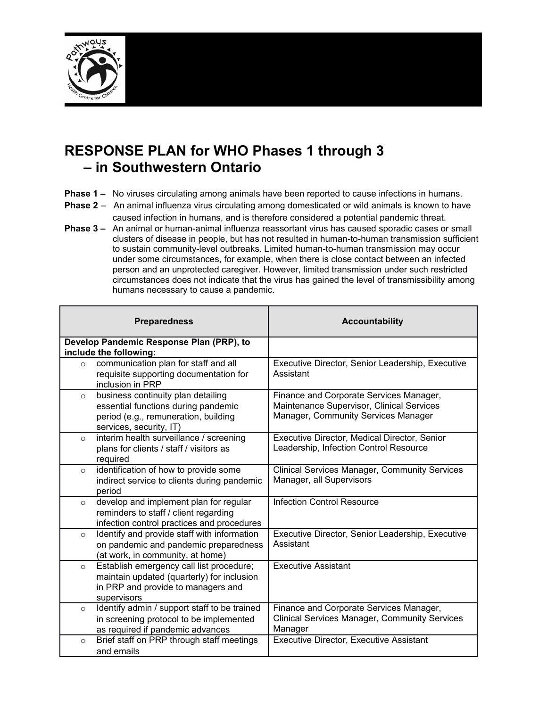

# **RESPONSE PLAN for WHO Phases 1 through 3 – in Southwestern Ontario**

- **Phase 1** No viruses circulating among animals have been reported to cause infections in humans.
- **Phase 2** An animal influenza virus circulating among domesticated or wild animals is known to have caused infection in humans, and is therefore considered a potential pandemic threat.
- **Phase 3 –** An animal or human-animal influenza reassortant virus has caused sporadic cases or small clusters of disease in people, but has not resulted in human-to-human transmission sufficient to sustain community-level outbreaks. Limited human-to-human transmission may occur under some circumstances, for example, when there is close contact between an infected person and an unprotected caregiver. However, limited transmission under such restricted circumstances does not indicate that the virus has gained the level of transmissibility among humans necessary to cause a pandemic.

| <b>Preparedness</b> |                                                                                                                                              | <b>Accountability</b>                                                                                                       |
|---------------------|----------------------------------------------------------------------------------------------------------------------------------------------|-----------------------------------------------------------------------------------------------------------------------------|
|                     | Develop Pandemic Response Plan (PRP), to<br>include the following:                                                                           |                                                                                                                             |
| $\circ$             | communication plan for staff and all<br>requisite supporting documentation for<br>inclusion in PRP                                           | Executive Director, Senior Leadership, Executive<br>Assistant                                                               |
| $\circ$             | business continuity plan detailing<br>essential functions during pandemic<br>period (e.g., remuneration, building<br>services, security, IT) | Finance and Corporate Services Manager,<br>Maintenance Supervisor, Clinical Services<br>Manager, Community Services Manager |
| $\circ$             | interim health surveillance / screening<br>plans for clients / staff / visitors as<br>required                                               | Executive Director, Medical Director, Senior<br>Leadership, Infection Control Resource                                      |
| $\circ$             | identification of how to provide some<br>indirect service to clients during pandemic<br>period                                               | <b>Clinical Services Manager, Community Services</b><br>Manager, all Supervisors                                            |
| $\circ$             | develop and implement plan for regular<br>reminders to staff / client regarding<br>infection control practices and procedures                | <b>Infection Control Resource</b>                                                                                           |
| $\circ$             | Identify and provide staff with information<br>on pandemic and pandemic preparedness<br>(at work, in community, at home)                     | Executive Director, Senior Leadership, Executive<br>Assistant                                                               |
| $\circ$             | Establish emergency call list procedure;<br>maintain updated (quarterly) for inclusion<br>in PRP and provide to managers and<br>supervisors  | <b>Executive Assistant</b>                                                                                                  |
| $\circ$             | Identify admin / support staff to be trained<br>in screening protocol to be implemented<br>as required if pandemic advances                  | Finance and Corporate Services Manager,<br><b>Clinical Services Manager, Community Services</b><br>Manager                  |
| $\circ$             | Brief staff on PRP through staff meetings<br>and emails                                                                                      | <b>Executive Director, Executive Assistant</b>                                                                              |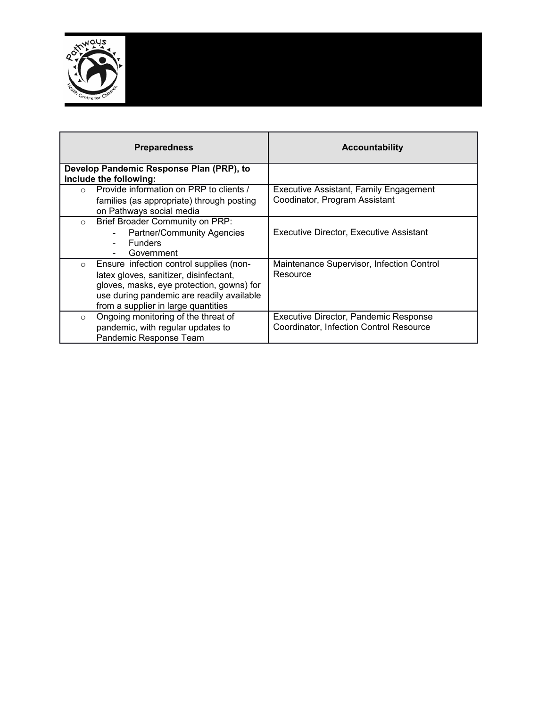

| <b>Preparedness</b>                                                                                                                                                                                                           | <b>Accountability</b>                                                            |
|-------------------------------------------------------------------------------------------------------------------------------------------------------------------------------------------------------------------------------|----------------------------------------------------------------------------------|
| Develop Pandemic Response Plan (PRP), to<br>include the following:                                                                                                                                                            |                                                                                  |
| Provide information on PRP to clients /<br>$\bigcirc$<br>families (as appropriate) through posting<br>on Pathways social media                                                                                                | Executive Assistant, Family Engagement<br>Coodinator, Program Assistant          |
| Brief Broader Community on PRP:<br>$\circ$<br><b>Partner/Community Agencies</b><br><b>Funders</b><br>Government                                                                                                               | Executive Director, Executive Assistant                                          |
| Ensure infection control supplies (non-<br>$\circ$<br>latex gloves, sanitizer, disinfectant,<br>gloves, masks, eye protection, gowns) for<br>use during pandemic are readily available<br>from a supplier in large quantities | Maintenance Supervisor, Infection Control<br>Resource                            |
| Ongoing monitoring of the threat of<br>$\circ$<br>pandemic, with regular updates to<br>Pandemic Response Team                                                                                                                 | Executive Director, Pandemic Response<br>Coordinator, Infection Control Resource |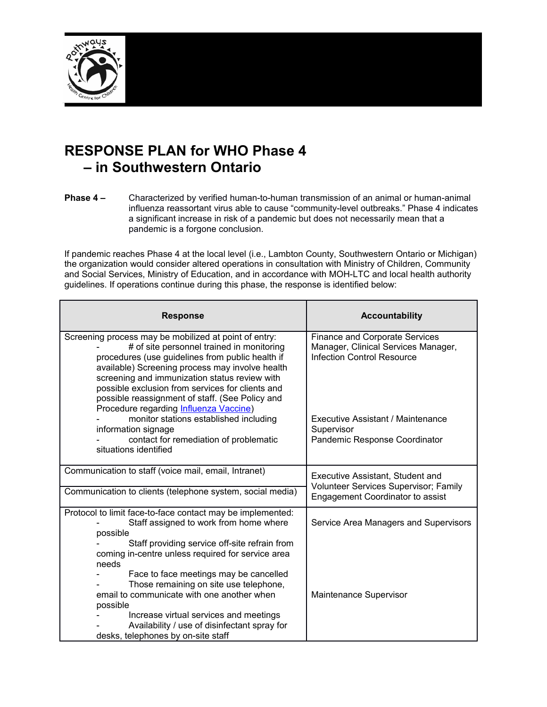

# **RESPONSE PLAN for WHO Phase 4 – in Southwestern Ontario**

**Phase 4 –** Characterized by verified human-to-human transmission of an animal or human-animal influenza reassortant virus able to cause "community-level outbreaks." Phase 4 indicates a significant increase in risk of a pandemic but does not necessarily mean that a pandemic is a forgone conclusion.

If pandemic reaches Phase 4 at the local level (i.e., Lambton County, Southwestern Ontario or Michigan) the organization would consider altered operations in consultation with Ministry of Children, Community and Social Services, Ministry of Education, and in accordance with MOH-LTC and local health authority guidelines. If operations continue during this phase, the response is identified below:

| Finance and Corporate Services                                                   |
|----------------------------------------------------------------------------------|
| Manager, Clinical Services Manager,<br>Infection Control Resource                |
| Executive Assistant / Maintenance<br>Supervisor<br>Pandemic Response Coordinator |
|                                                                                  |
| Executive Assistant, Student and<br>Volunteer Services Supervisor; Family        |
| Engagement Coordinator to assist                                                 |
| Service Area Managers and Supervisors                                            |
|                                                                                  |
| Maintenance Supervisor                                                           |
|                                                                                  |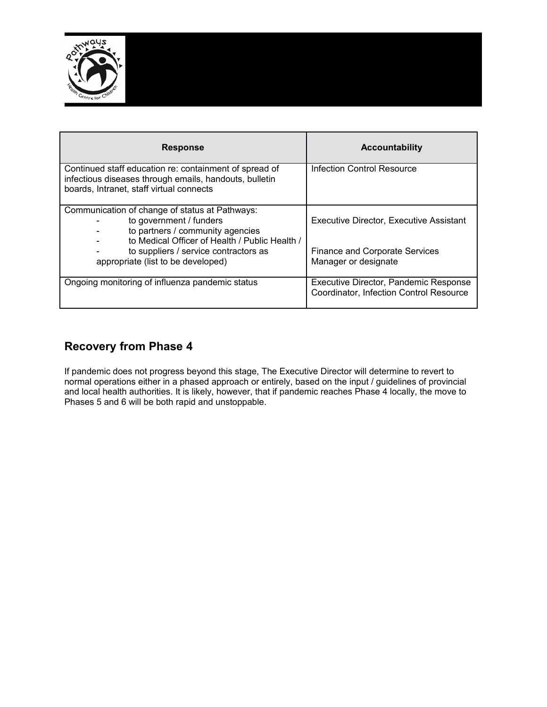

| <b>Response</b>                                                                                                                                                 | <b>Accountability</b>                                                            |
|-----------------------------------------------------------------------------------------------------------------------------------------------------------------|----------------------------------------------------------------------------------|
| Continued staff education re: containment of spread of<br>infectious diseases through emails, handouts, bulletin<br>boards, Intranet, staff virtual connects    | Infection Control Resource                                                       |
| Communication of change of status at Pathways:<br>to government / funders<br>to partners / community agencies<br>to Medical Officer of Health / Public Health / | Executive Director, Executive Assistant                                          |
| to suppliers / service contractors as<br>appropriate (list to be developed)                                                                                     | <b>Finance and Corporate Services</b><br>Manager or designate                    |
| Ongoing monitoring of influenza pandemic status                                                                                                                 | Executive Director, Pandemic Response<br>Coordinator, Infection Control Resource |

#### **Recovery from Phase 4**

If pandemic does not progress beyond this stage, The Executive Director will determine to revert to normal operations either in a phased approach or entirely, based on the input / guidelines of provincial and local health authorities. It is likely, however, that if pandemic reaches Phase 4 locally, the move to Phases 5 and 6 will be both rapid and unstoppable.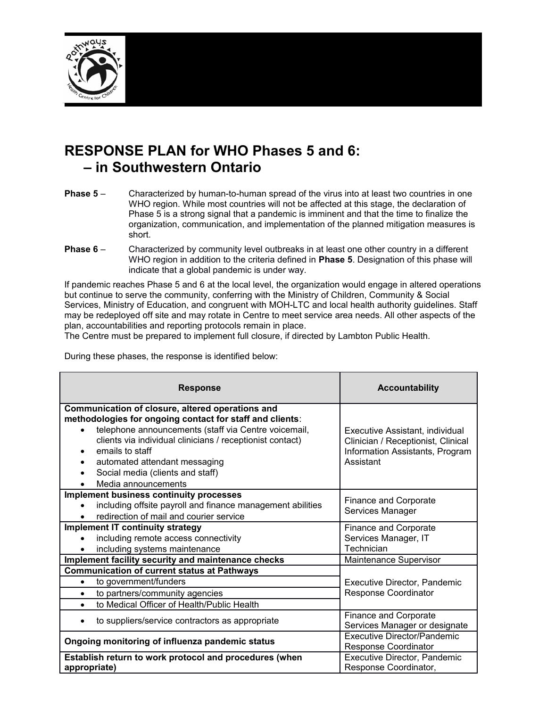

# **RESPONSE PLAN for WHO Phases 5 and 6: – in Southwestern Ontario**

- **Phase 5** Characterized by human-to-human spread of the virus into at least two countries in one WHO region. While most countries will not be affected at this stage, the declaration of Phase 5 is a strong signal that a pandemic is imminent and that the time to finalize the organization, communication, and implementation of the planned mitigation measures is short.
- **Phase 6** Characterized by community level outbreaks in at least one other country in a different WHO region in addition to the criteria defined in **Phase 5**. Designation of this phase will indicate that a global pandemic is under way.

If pandemic reaches Phase 5 and 6 at the local level, the organization would engage in altered operations but continue to serve the community, conferring with the Ministry of Children, Community & Social Services, Ministry of Education, and congruent with MOH-LTC and local health authority guidelines. Staff may be redeployed off site and may rotate in Centre to meet service area needs. All other aspects of the plan, accountabilities and reporting protocols remain in place.

The Centre must be prepared to implement full closure, if directed by Lambton Public Health.

During these phases, the response is identified below:

| <b>Response</b>                                                                                                                                                                                                                                                                                                                                  | <b>Accountability</b>                                                                                                 |
|--------------------------------------------------------------------------------------------------------------------------------------------------------------------------------------------------------------------------------------------------------------------------------------------------------------------------------------------------|-----------------------------------------------------------------------------------------------------------------------|
| Communication of closure, altered operations and<br>methodologies for ongoing contact for staff and clients:<br>telephone announcements (staff via Centre voicemail,<br>clients via individual clinicians / receptionist contact)<br>emails to staff<br>automated attendant messaging<br>Social media (clients and staff)<br>Media announcements | Executive Assistant, individual<br>Clinician / Receptionist, Clinical<br>Information Assistants, Program<br>Assistant |
| <b>Implement business continuity processes</b><br>including offsite payroll and finance management abilities<br>redirection of mail and courier service                                                                                                                                                                                          | Finance and Corporate<br>Services Manager                                                                             |
| <b>Implement IT continuity strategy</b><br>including remote access connectivity<br>including systems maintenance                                                                                                                                                                                                                                 | <b>Finance and Corporate</b><br>Services Manager, IT<br>Technician                                                    |
| Implement facility security and maintenance checks                                                                                                                                                                                                                                                                                               | Maintenance Supervisor                                                                                                |
| <b>Communication of current status at Pathways</b><br>to government/funders<br>to partners/community agencies<br>$\bullet$<br>to Medical Officer of Health/Public Health                                                                                                                                                                         | Executive Director, Pandemic<br>Response Coordinator                                                                  |
| to suppliers/service contractors as appropriate<br>٠                                                                                                                                                                                                                                                                                             | <b>Finance and Corporate</b><br>Services Manager or designate                                                         |
| Ongoing monitoring of influenza pandemic status                                                                                                                                                                                                                                                                                                  | Executive Director/Pandemic<br>Response Coordinator                                                                   |
| Establish return to work protocol and procedures (when<br>appropriate)                                                                                                                                                                                                                                                                           | Executive Director, Pandemic<br>Response Coordinator,                                                                 |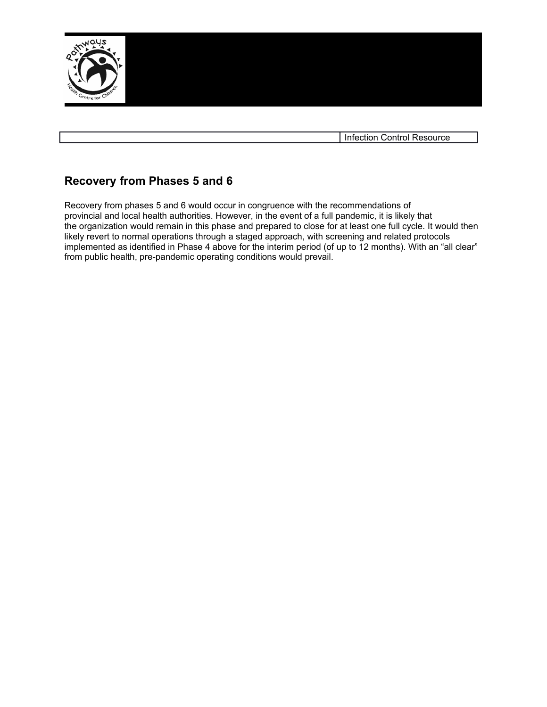

Infection Control Resource

### **Recovery from Phases 5 and 6**

Recovery from phases 5 and 6 would occur in congruence with the recommendations of provincial and local health authorities. However, in the event of a full pandemic, it is likely that the organization would remain in this phase and prepared to close for at least one full cycle. It would then likely revert to normal operations through a staged approach, with screening and related protocols implemented as identified in Phase 4 above for the interim period (of up to 12 months). With an "all clear" from public health, pre-pandemic operating conditions would prevail.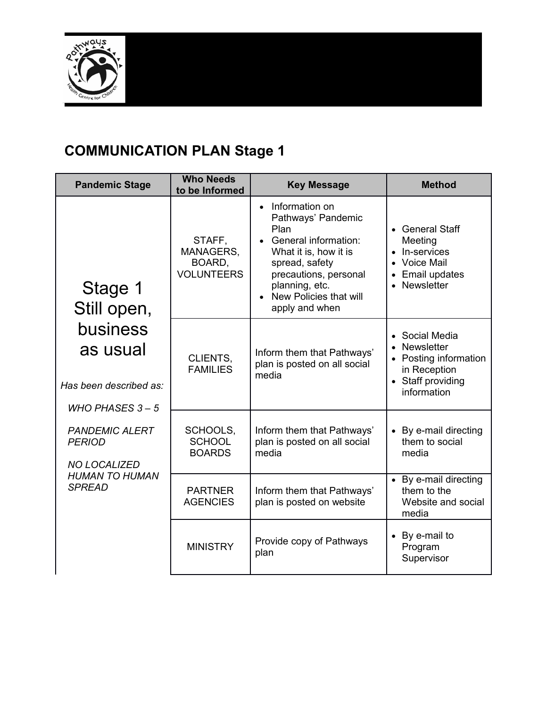

# **COMMUNICATION PLAN Stage 1**

| <b>Pandemic Stage</b>                                                                                                                                                                                                                                                                                                                           | <b>Who Needs</b><br>to be Informed | <b>Key Message</b>                                                                                                                                                                                                    | <b>Method</b>                                                                                                        |
|-------------------------------------------------------------------------------------------------------------------------------------------------------------------------------------------------------------------------------------------------------------------------------------------------------------------------------------------------|------------------------------------|-----------------------------------------------------------------------------------------------------------------------------------------------------------------------------------------------------------------------|----------------------------------------------------------------------------------------------------------------------|
| STAFF,<br>BOARD,<br>Stage 1<br>Still open,<br>business<br>as usual<br>CLIENTS,<br><b>FAMILIES</b><br>Has been described as:<br>WHO PHASES $3 - 5$<br>SCHOOLS,<br><b>PANDEMIC ALERT</b><br><b>SCHOOL</b><br><b>PERIOD</b><br><b>BOARDS</b><br><b>NO LOCALIZED</b><br><b>HUMAN TO HUMAN</b><br><b>SPREAD</b><br><b>PARTNER</b><br><b>AGENCIES</b> | MANAGERS,<br><b>VOLUNTEERS</b>     | Information on<br>$\bullet$<br>Pathways' Pandemic<br>Plan<br>• General information:<br>What it is, how it is<br>spread, safety<br>precautions, personal<br>planning, etc.<br>New Policies that will<br>apply and when | • General Staff<br>Meeting<br>• In-services<br>• Voice Mail<br><b>Email updates</b><br>Newsletter                    |
|                                                                                                                                                                                                                                                                                                                                                 |                                    | Inform them that Pathways'<br>plan is posted on all social<br>media                                                                                                                                                   | Social Media<br>$\bullet$<br>Newsletter<br>• Posting information<br>in Reception<br>• Staff providing<br>information |
|                                                                                                                                                                                                                                                                                                                                                 |                                    | Inform them that Pathways'<br>plan is posted on all social<br>media                                                                                                                                                   | By e-mail directing<br>them to social<br>media                                                                       |
|                                                                                                                                                                                                                                                                                                                                                 |                                    | Inform them that Pathways'<br>plan is posted on website                                                                                                                                                               | • By e-mail directing<br>them to the<br>Website and social<br>media                                                  |
|                                                                                                                                                                                                                                                                                                                                                 | <b>MINISTRY</b>                    | Provide copy of Pathways<br>plan                                                                                                                                                                                      | • By e-mail to<br>Program<br>Supervisor                                                                              |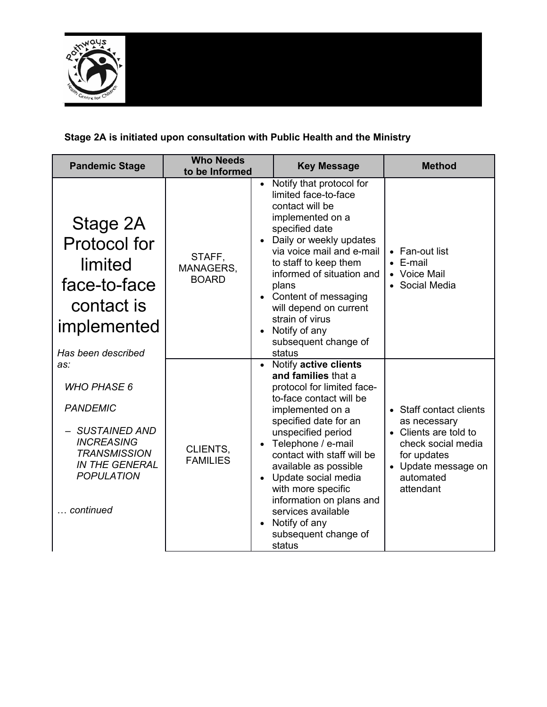

#### **Stage 2A is initiated upon consultation with Public Health and the Ministry**

| <b>Pandemic Stage</b>                                                                                                                                                       | <b>Who Needs</b><br>to be Informed  |                                     | <b>Key Message</b>                                                                                                                                                                                                                                                                                                                                                                                        | <b>Method</b>                                                                                                                                          |
|-----------------------------------------------------------------------------------------------------------------------------------------------------------------------------|-------------------------------------|-------------------------------------|-----------------------------------------------------------------------------------------------------------------------------------------------------------------------------------------------------------------------------------------------------------------------------------------------------------------------------------------------------------------------------------------------------------|--------------------------------------------------------------------------------------------------------------------------------------------------------|
| Stage 2A<br><b>Protocol for</b><br>limited<br>face-to-face<br>contact is<br>implemented<br>Has been described                                                               | STAFF,<br>MANAGERS,<br><b>BOARD</b> | $\bullet$<br>$\bullet$<br>$\bullet$ | Notify that protocol for<br>limited face-to-face<br>contact will be<br>implemented on a<br>specified date<br>Daily or weekly updates<br>via voice mail and e-mail<br>to staff to keep them<br>informed of situation and<br>plans<br>Content of messaging<br>will depend on current<br>strain of virus<br>Notify of any<br>subsequent change of<br>status                                                  | • Fan-out list<br>E-mail<br>• Voice Mail<br>• Social Media                                                                                             |
| as:<br><b>WHO PHASE 6</b><br><b>PANDEMIC</b><br><b>SUSTAINED AND</b><br><b>INCREASING</b><br><b>TRANSMISSION</b><br><b>IN THE GENERAL</b><br><b>POPULATION</b><br>continued | CLIENTS,<br><b>FAMILIES</b>         | $\bullet$                           | • Notify active clients<br>and families that a<br>protocol for limited face-<br>to-face contact will be<br>implemented on a<br>specified date for an<br>unspecified period<br>Telephone / e-mail<br>contact with staff will be<br>available as possible<br>Update social media<br>with more specific<br>information on plans and<br>services available<br>Notify of any<br>subsequent change of<br>status | • Staff contact clients<br>as necessary<br>• Clients are told to<br>check social media<br>for updates<br>• Update message on<br>automated<br>attendant |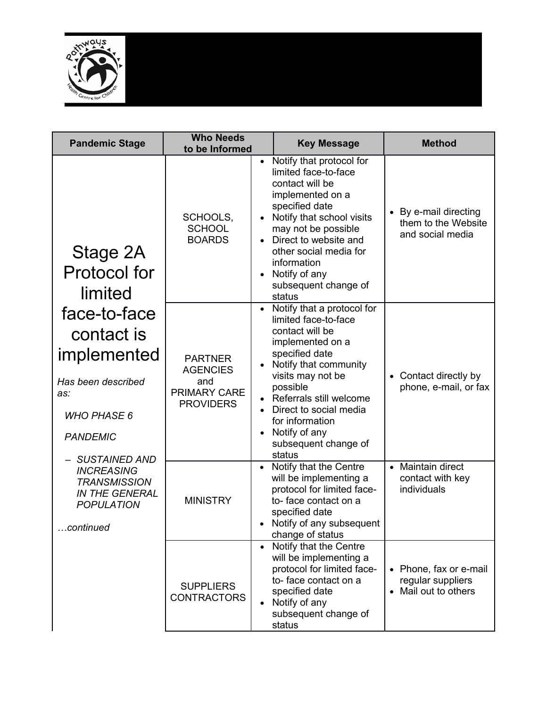

| <b>Pandemic Stage</b>                                                                                                        | <b>Who Needs</b><br>to be Informed                                           | <b>Key Message</b>                                                                                                                                                                                                                                                                               | <b>Method</b>                                                     |
|------------------------------------------------------------------------------------------------------------------------------|------------------------------------------------------------------------------|--------------------------------------------------------------------------------------------------------------------------------------------------------------------------------------------------------------------------------------------------------------------------------------------------|-------------------------------------------------------------------|
| Stage 2A<br><b>Protocol for</b><br>limited                                                                                   | SCHOOLS,<br><b>SCHOOL</b><br><b>BOARDS</b>                                   | Notify that protocol for<br>limited face-to-face<br>contact will be<br>implemented on a<br>specified date<br>Notify that school visits<br>may not be possible<br>• Direct to website and<br>other social media for<br>information<br>Notify of any<br>subsequent change of<br>status             | • By e-mail directing<br>them to the Website<br>and social media  |
| face-to-face<br>contact is<br>implemented<br>Has been described<br>as:<br><b>WHO PHASE 6</b><br><b>PANDEMIC</b>              | <b>PARTNER</b><br><b>AGENCIES</b><br>and<br>PRIMARY CARE<br><b>PROVIDERS</b> | Notify that a protocol for<br>limited face-to-face<br>contact will be<br>implemented on a<br>specified date<br>Notify that community<br>visits may not be<br>possible<br>Referrals still welcome<br>Direct to social media<br>for information<br>Notify of any<br>subsequent change of<br>status | • Contact directly by<br>phone, e-mail, or fax                    |
| <b>SUSTAINED AND</b><br><b>INCREASING</b><br><b>TRANSMISSION</b><br><b>IN THE GENERAL</b><br><b>POPULATION</b><br>.continued | <b>MINISTRY</b>                                                              | Notify that the Centre<br>will be implementing a<br>protocol for limited face-<br>to-face contact on a<br>specified date<br>Notify of any subsequent<br>change of status                                                                                                                         | • Maintain direct<br>contact with key<br>individuals              |
|                                                                                                                              | <b>SUPPLIERS</b><br><b>CONTRACTORS</b>                                       | Notify that the Centre<br>will be implementing a<br>protocol for limited face-<br>to-face contact on a<br>specified date<br>Notify of any<br>subsequent change of<br>status                                                                                                                      | • Phone, fax or e-mail<br>regular suppliers<br>Mail out to others |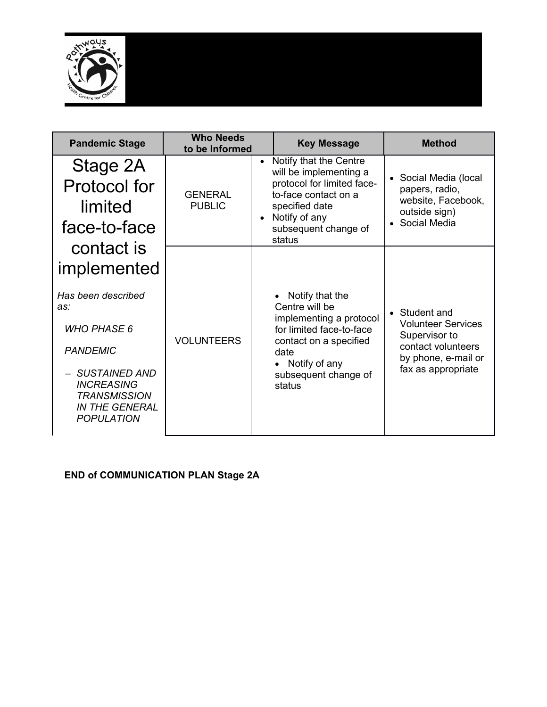

| <b>Pandemic Stage</b>                                                                                     | <b>Who Needs</b><br>to be Informed |                        | <b>Key Message</b>                                                                                                                                                          |           | <b>Method</b>                                                                                  |
|-----------------------------------------------------------------------------------------------------------|------------------------------------|------------------------|-----------------------------------------------------------------------------------------------------------------------------------------------------------------------------|-----------|------------------------------------------------------------------------------------------------|
| Stage 2A<br>Protocol for<br>limited<br>face-to-face                                                       | <b>GENERAL</b><br><b>PUBLIC</b>    | $\bullet$<br>$\bullet$ | Notify that the Centre<br>will be implementing a<br>protocol for limited face-<br>to-face contact on a<br>specified date<br>Notify of any<br>subsequent change of<br>status | $\bullet$ | Social Media (local<br>papers, radio,<br>website, Facebook,<br>outside sign)<br>• Social Media |
| contact is<br>implemented                                                                                 |                                    |                        |                                                                                                                                                                             |           |                                                                                                |
| Has been described<br>as:                                                                                 |                                    |                        | Notify that the<br>Centre will be<br>implementing a protocol                                                                                                                |           | • Student and                                                                                  |
| <b>WHO PHASE 6</b>                                                                                        |                                    |                        | for limited face-to-face<br>contact on a specified<br>date                                                                                                                  |           | <b>Volunteer Services</b><br>Supervisor to<br>contact volunteers<br>by phone, e-mail or        |
| <b>PANDEMIC</b>                                                                                           | <b>VOLUNTEERS</b>                  |                        |                                                                                                                                                                             |           |                                                                                                |
| - SUSTAINED AND<br><b>INCREASING</b><br><b>TRANSMISSION</b><br><b>IN THE GENERAL</b><br><b>POPULATION</b> |                                    |                        | Notify of any<br>subsequent change of<br>status                                                                                                                             |           | fax as appropriate                                                                             |

#### **END of COMMUNICATION PLAN Stage 2A**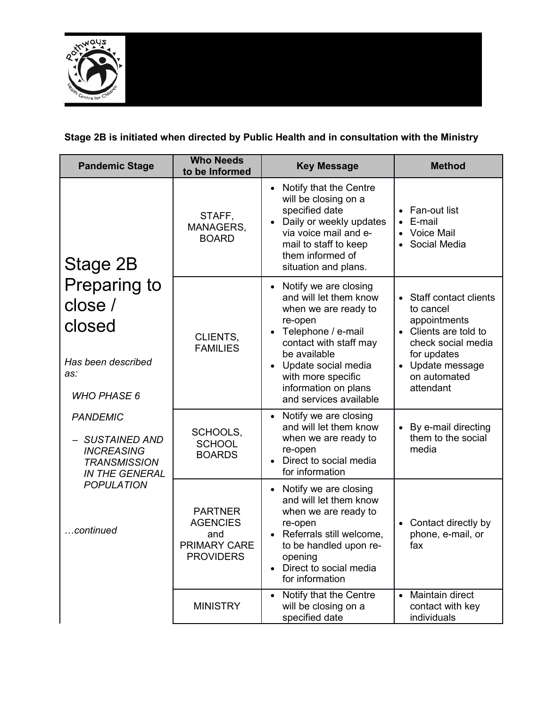

# **Stage 2B is initiated when directed by Public Health and in consultation with the Ministry**

| <b>Pandemic Stage</b>                                                                                        | <b>Who Needs</b><br>to be Informed                                                  | <b>Key Message</b>                                                                                                                                                                                                                                                          | <b>Method</b>                                                                                                                                                     |
|--------------------------------------------------------------------------------------------------------------|-------------------------------------------------------------------------------------|-----------------------------------------------------------------------------------------------------------------------------------------------------------------------------------------------------------------------------------------------------------------------------|-------------------------------------------------------------------------------------------------------------------------------------------------------------------|
| Stage 2B                                                                                                     | STAFF,<br>MANAGERS,<br><b>BOARD</b>                                                 | Notify that the Centre<br>$\bullet$<br>will be closing on a<br>specified date<br>Daily or weekly updates<br>via voice mail and e-<br>mail to staff to keep<br>them informed of<br>situation and plans.                                                                      | Fan-out list<br>E-mail<br><b>Voice Mail</b><br>Social Media                                                                                                       |
| Preparing to<br>close /<br>closed<br>Has been described<br>as:<br><b>WHO PHASE 6</b>                         | CLIENTS,<br><b>FAMILIES</b>                                                         | Notify we are closing<br>$\bullet$<br>and will let them know<br>when we are ready to<br>re-open<br>Telephone / e-mail<br>$\bullet$<br>contact with staff may<br>be available<br>Update social media<br>with more specific<br>information on plans<br>and services available | Staff contact clients<br>to cancel<br>appointments<br>• Clients are told to<br>check social media<br>for updates<br>• Update message<br>on automated<br>attendant |
| <b>PANDEMIC</b><br><b>SUSTAINED AND</b><br><b>INCREASING</b><br><b>TRANSMISSION</b><br><b>IN THE GENERAL</b> | SCHOOLS,<br><b>SCHOOL</b><br><b>BOARDS</b>                                          | Notify we are closing<br>$\bullet$<br>and will let them know<br>when we are ready to<br>re-open<br>Direct to social media<br>for information                                                                                                                                | • By e-mail directing<br>them to the social<br>media                                                                                                              |
| <b>POPULATION</b><br>continued                                                                               | <b>PARTNER</b><br><b>AGENCIES</b><br>and<br><b>PRIMARY CARE</b><br><b>PROVIDERS</b> | Notify we are closing<br>and will let them know<br>when we are ready to<br>re-open<br>Referrals still welcome,<br>to be handled upon re-<br>opening<br>Direct to social media<br>for information                                                                            | Contact directly by<br>phone, e-mail, or<br>fax                                                                                                                   |
|                                                                                                              | <b>MINISTRY</b>                                                                     | Notify that the Centre<br>will be closing on a<br>specified date                                                                                                                                                                                                            | Maintain direct<br>contact with key<br>individuals                                                                                                                |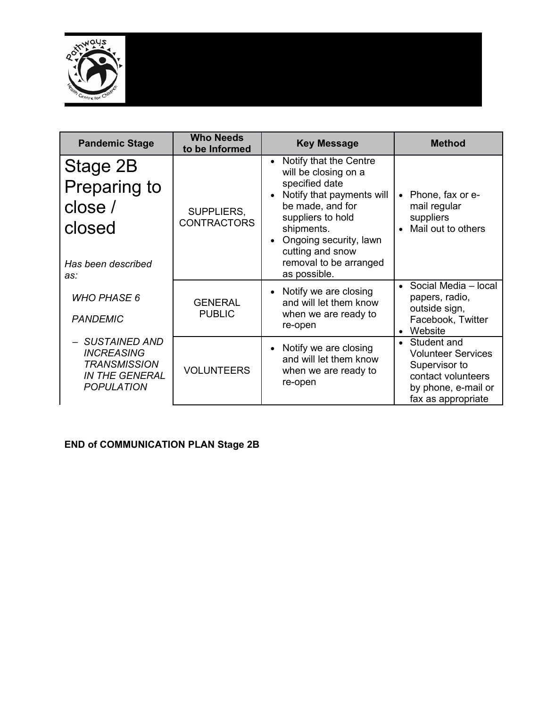

| <b>Pandemic Stage</b>                                                                                     | <b>Who Needs</b><br>to be Informed | <b>Key Message</b>                                                                                                                                                                                                                        | <b>Method</b>                                                                                                                             |
|-----------------------------------------------------------------------------------------------------------|------------------------------------|-------------------------------------------------------------------------------------------------------------------------------------------------------------------------------------------------------------------------------------------|-------------------------------------------------------------------------------------------------------------------------------------------|
| Stage 2B<br>Preparing to<br>close /<br>closed                                                             | SUPPLIERS,<br><b>CONTRACTORS</b>   | Notify that the Centre<br>$\bullet$<br>will be closing on a<br>specified date<br>Notify that payments will<br>be made, and for<br>suppliers to hold<br>shipments.<br>Ongoing security, lawn<br>cutting and snow<br>removal to be arranged | Phone, fax or e-<br>$\bullet$<br>mail regular<br>suppliers<br>Mail out to others<br>$\bullet$                                             |
| Has been described<br>as:                                                                                 |                                    | as possible.                                                                                                                                                                                                                              |                                                                                                                                           |
| <b>WHO PHASE 6</b><br><b>PANDEMIC</b>                                                                     | <b>GENERAL</b><br><b>PUBLIC</b>    | Notify we are closing<br>and will let them know<br>when we are ready to<br>re-open                                                                                                                                                        | Social Media - local<br>papers, radio,<br>outside sign,<br>Facebook, Twitter<br>Website<br>$\bullet$                                      |
| - SUSTAINED AND<br><b>INCREASING</b><br><b>TRANSMISSION</b><br><b>IN THE GENERAL</b><br><b>POPULATION</b> | <b>VOLUNTEERS</b>                  | Notify we are closing<br>and will let them know<br>when we are ready to<br>re-open                                                                                                                                                        | Student and<br>$\bullet$<br><b>Volunteer Services</b><br>Supervisor to<br>contact volunteers<br>by phone, e-mail or<br>fax as appropriate |

#### **END of COMMUNICATION PLAN Stage 2B**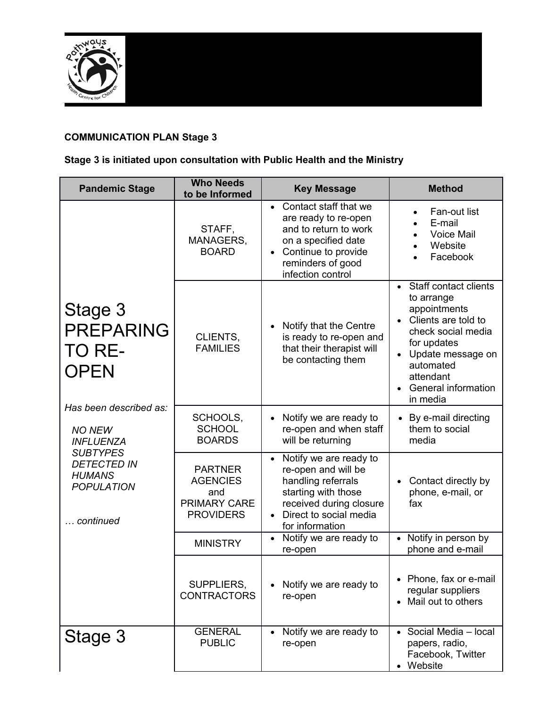

#### **COMMUNICATION PLAN Stage 3**

#### **Stage 3 is initiated upon consultation with Public Health and the Ministry**

| <b>Pandemic Stage</b>                                                                                                                                                                                           | <b>Who Needs</b><br>to be Informed                                                  | <b>Key Message</b>                                                                                                                                                            | <b>Method</b>                                                                                                                                                                                              |
|-----------------------------------------------------------------------------------------------------------------------------------------------------------------------------------------------------------------|-------------------------------------------------------------------------------------|-------------------------------------------------------------------------------------------------------------------------------------------------------------------------------|------------------------------------------------------------------------------------------------------------------------------------------------------------------------------------------------------------|
| Stage 3<br><b>PREPARING</b><br>TO RE-<br><b>OPEN</b><br>Has been described as:<br><b>NO NEW</b><br><b>INFLUENZA</b><br><b>SUBTYPES</b><br><b>DETECTED IN</b><br><b>HUMANS</b><br><b>POPULATION</b><br>continued | STAFF,<br>MANAGERS,<br><b>BOARD</b>                                                 | • Contact staff that we<br>are ready to re-open<br>and to return to work<br>on a specified date<br>Continue to provide<br>$\bullet$<br>reminders of good<br>infection control | Fan-out list<br>$\bullet$<br>E-mail<br><b>Voice Mail</b><br>Website<br>Facebook                                                                                                                            |
|                                                                                                                                                                                                                 | CLIENTS,<br><b>FAMILIES</b>                                                         | Notify that the Centre<br>is ready to re-open and<br>that their therapist will<br>be contacting them                                                                          | • Staff contact clients<br>to arrange<br>appointments<br>Clients are told to<br>check social media<br>for updates<br>Update message on<br>automated<br>attendant<br><b>General information</b><br>in media |
|                                                                                                                                                                                                                 | SCHOOLS,<br><b>SCHOOL</b><br><b>BOARDS</b>                                          | Notify we are ready to<br>re-open and when staff<br>will be returning                                                                                                         | By e-mail directing<br>$\bullet$<br>them to social<br>media                                                                                                                                                |
|                                                                                                                                                                                                                 | <b>PARTNER</b><br><b>AGENCIES</b><br>and<br><b>PRIMARY CARE</b><br><b>PROVIDERS</b> | • Notify we are ready to<br>re-open and will be<br>handling referrals<br>starting with those<br>received during closure<br>Direct to social media<br>for information          | Contact directly by<br>phone, e-mail, or<br>fax                                                                                                                                                            |
|                                                                                                                                                                                                                 | <b>MINISTRY</b>                                                                     | Notify we are ready to<br>$\bullet$<br>re-open                                                                                                                                | Notify in person by<br>phone and e-mail                                                                                                                                                                    |
|                                                                                                                                                                                                                 | SUPPLIERS,<br><b>CONTRACTORS</b>                                                    | Notify we are ready to<br>re-open                                                                                                                                             | • Phone, fax or e-mail<br>regular suppliers<br>• Mail out to others                                                                                                                                        |
| Stage 3                                                                                                                                                                                                         | <b>GENERAL</b><br><b>PUBLIC</b>                                                     | Notify we are ready to<br>re-open                                                                                                                                             | Social Media - local<br>papers, radio,<br>Facebook, Twitter<br>Website                                                                                                                                     |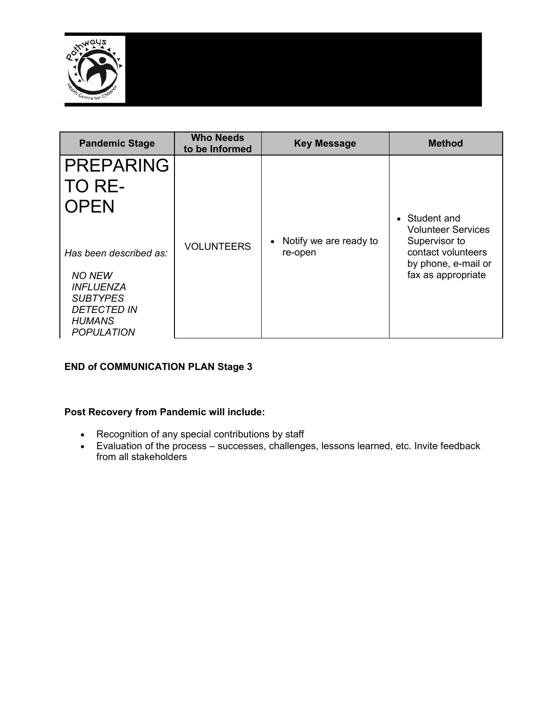

| <b>Pandemic Stage</b>                                                                                                                             | <b>Who Needs</b><br>to be Informed | <b>Key Message</b>                | <b>Method</b>                                                                                                                  |
|---------------------------------------------------------------------------------------------------------------------------------------------------|------------------------------------|-----------------------------------|--------------------------------------------------------------------------------------------------------------------------------|
| <b>PREPARING</b><br>TO RE-<br><b>OPEN</b>                                                                                                         | <b>VOLUNTEERS</b>                  | Notify we are ready to<br>re-open | • Student and<br><b>Volunteer Services</b><br>Supervisor to<br>contact volunteers<br>by phone, e-mail or<br>fax as appropriate |
| Has been described as:<br><b>NO NEW</b><br><i><b>INFLUENZA</b></i><br><b>SUBTYPES</b><br><b>DETECTED IN</b><br><b>HUMANS</b><br><b>POPULATION</b> |                                    |                                   |                                                                                                                                |

#### **END of COMMUNICATION PLAN Stage 3**

#### **Post Recovery from Pandemic will include:**

- Recognition of any special contributions by staff
- Evaluation of the process successes, challenges, lessons learned, etc. Invite feedback from all stakeholders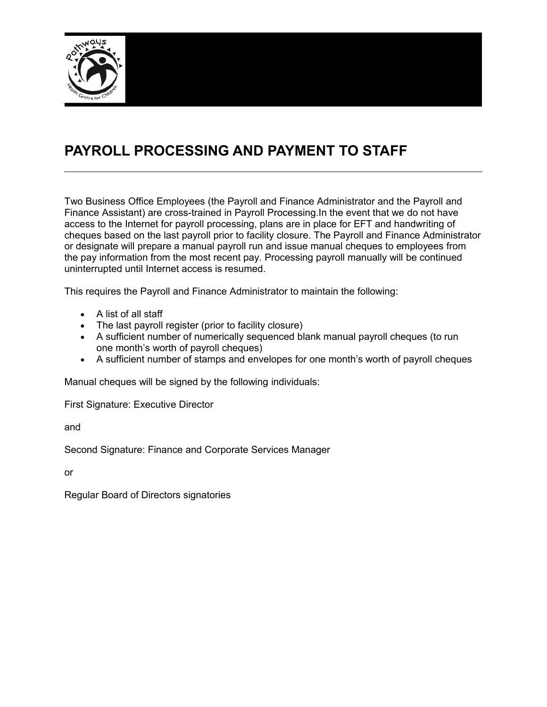

# **PAYROLL PROCESSING AND PAYMENT TO STAFF**

Two Business Office Employees (the Payroll and Finance Administrator and the Payroll and Finance Assistant) are cross-trained in Payroll Processing.In the event that we do not have access to the Internet for payroll processing, plans are in place for EFT and handwriting of cheques based on the last payroll prior to facility closure. The Payroll and Finance Administrator or designate will prepare a manual payroll run and issue manual cheques to employees from the pay information from the most recent pay. Processing payroll manually will be continued uninterrupted until Internet access is resumed.

This requires the Payroll and Finance Administrator to maintain the following:

- A list of all staff
- The last payroll register (prior to facility closure)
- A sufficient number of numerically sequenced blank manual payroll cheques (to run one month's worth of payroll cheques)
- A sufficient number of stamps and envelopes for one month's worth of payroll cheques

Manual cheques will be signed by the following individuals:

First Signature: Executive Director

and

Second Signature: Finance and Corporate Services Manager

or

Regular Board of Directors signatories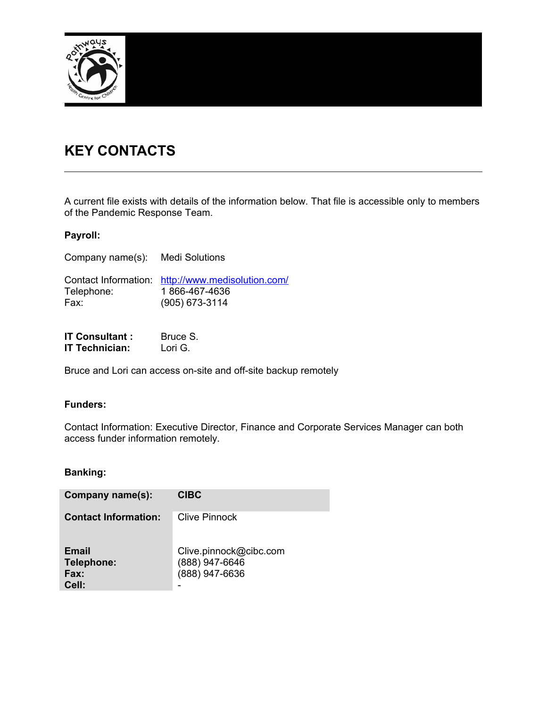

# **KEY CONTACTS**

**IT Technician:** Lori G.

A current file exists with details of the information below. That file is accessible only to members of the Pandemic Response Team.

#### **Payroll:**

| Company name(s): Medi Solutions |                                                                                      |
|---------------------------------|--------------------------------------------------------------------------------------|
| Telephone:<br>Fax:              | Contact Information: http://www.medisolution.com/<br>1866-467-4636<br>(905) 673-3114 |
| <b>IT Consultant:</b>           | Bruce S.                                                                             |

Bruce and Lori can access on-site and off-site backup remotely

#### **Funders:**

Contact Information: Executive Director, Finance and Corporate Services Manager can both access funder information remotely.

#### **Banking:**

| Company name(s):                            | <b>CIBC</b>                                                |
|---------------------------------------------|------------------------------------------------------------|
| <b>Contact Information:</b>                 | Clive Pinnock                                              |
| <b>Email</b><br>Telephone:<br>Fax:<br>Cell: | Clive.pinnock@cibc.com<br>(888) 947-6646<br>(888) 947-6636 |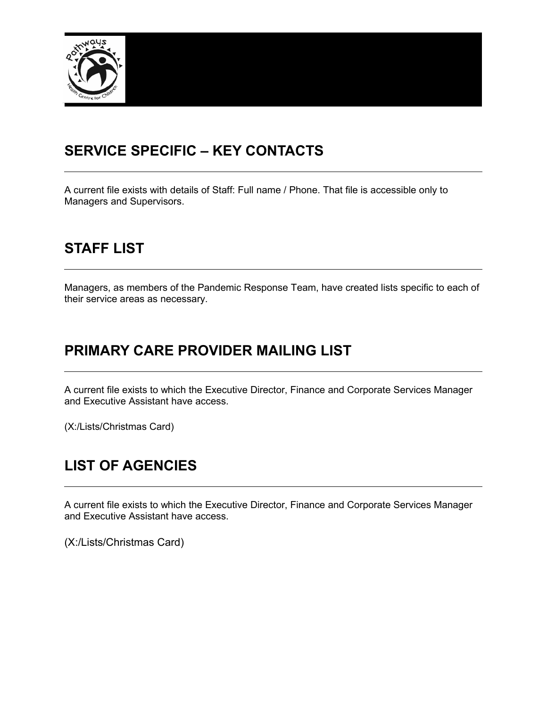

# **SERVICE SPECIFIC – KEY CONTACTS**

A current file exists with details of Staff: Full name / Phone. That file is accessible only to Managers and Supervisors.

# **STAFF LIST**

Managers, as members of the Pandemic Response Team, have created lists specific to each of their service areas as necessary.

# **PRIMARY CARE PROVIDER MAILING LIST**

A current file exists to which the Executive Director, Finance and Corporate Services Manager and Executive Assistant have access.

(X:/Lists/Christmas Card)

# **LIST OF AGENCIES**

A current file exists to which the Executive Director, Finance and Corporate Services Manager and Executive Assistant have access.

(X:/Lists/Christmas Card)